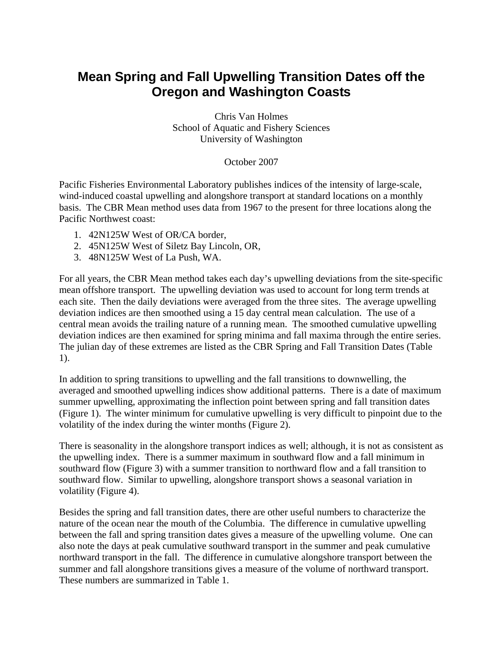## **Mean Spring and Fall Upwelling Transition Dates off the Oregon and Washington Coasts**

Chris Van Holmes School of Aquatic and Fishery Sciences University of Washington

October 2007

Pacific Fisheries Environmental Laboratory publishes indices of the intensity of large-scale, wind-induced coastal upwelling and alongshore transport at standard locations on a monthly basis. The CBR Mean method uses data from 1967 to the present for three locations along the Pacific Northwest coast:

- 1. 42N125W West of OR/CA border,
- 2. 45N125W West of Siletz Bay Lincoln, OR,
- 3. 48N125W West of La Push, WA.

For all years, the CBR Mean method takes each day's upwelling deviations from the site-specific mean offshore transport. The upwelling deviation was used to account for long term trends at each site. Then the daily deviations were averaged from the three sites. The average upwelling deviation indices are then smoothed using a 15 day central mean calculation. The use of a central mean avoids the trailing nature of a running mean. The smoothed cumulative upwelling deviation indices are then examined for spring minima and fall maxima through the entire series. The julian day of these extremes are listed as the CBR Spring and Fall Transition Dates [\(Table](#page-5-0)  [1](#page-5-0)).

In addition to spring transitions to upwelling and the fall transitions to downwelling, the averaged and smoothed upwelling indices show additional patterns. There is a date of maximum summer upwelling, approximating the inflection point between spring and fall transition dates ([Figure 1](#page-1-0)). The winter minimum for cumulative upwelling is very difficult to pinpoint due to the volatility of the index during the winter months ([Figure 2\)](#page-2-0).

There is seasonality in the alongshore transport indices as well; although, it is not as consistent as the upwelling index. There is a summer maximum in southward flow and a fall minimum in southward flow ([Figure 3](#page-3-0)) with a summer transition to northward flow and a fall transition to southward flow. Similar to upwelling, alongshore transport shows a seasonal variation in volatility [\(Figure 4\)](#page-4-0).

Besides the spring and fall transition dates, there are other useful numbers to characterize the nature of the ocean near the mouth of the Columbia. The difference in cumulative upwelling between the fall and spring transition dates gives a measure of the upwelling volume. One can also note the days at peak cumulative southward transport in the summer and peak cumulative northward transport in the fall. The difference in cumulative alongshore transport between the summer and fall alongshore transitions gives a measure of the volume of northward transport. These numbers are summarized in [Table 1.](#page-5-0)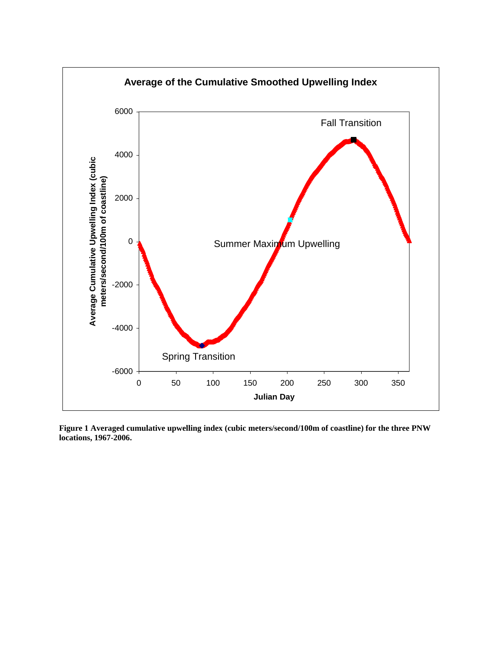

<span id="page-1-0"></span>**Figure 1 Averaged cumulative upwelling index (cubic meters/second/100m of coastline) for the three PNW locations, 1967-2006.**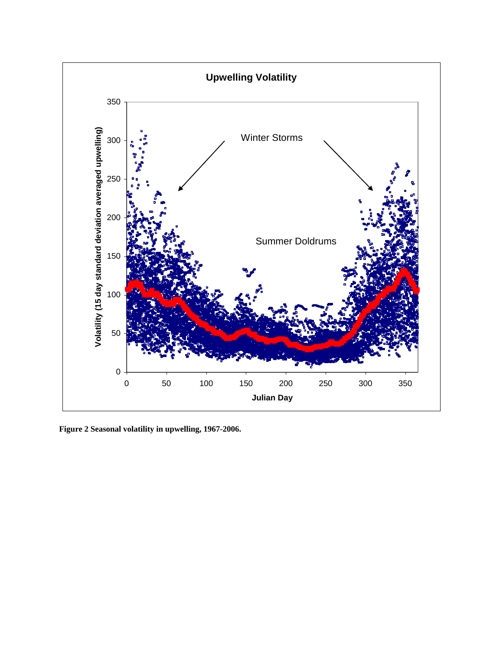

<span id="page-2-0"></span>**Figure 2 Seasonal volatility in upwelling, 1967-2006.**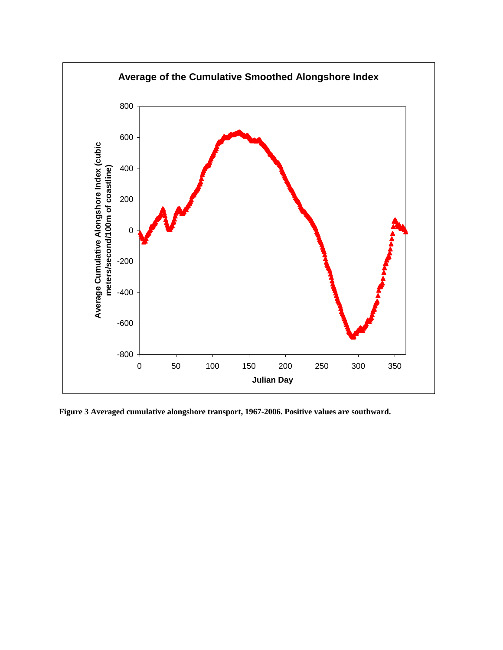

<span id="page-3-0"></span>**Figure 3 Averaged cumulative alongshore transport, 1967-2006. Positive values are southward.**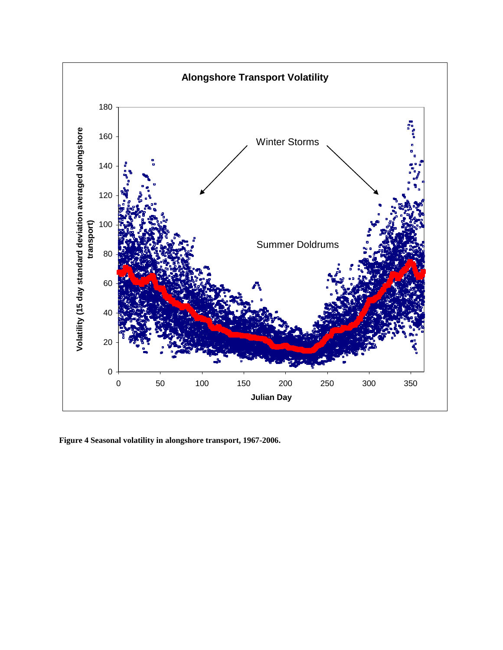

<span id="page-4-0"></span>**Figure 4 Seasonal volatility in alongshore transport, 1967-2006.**